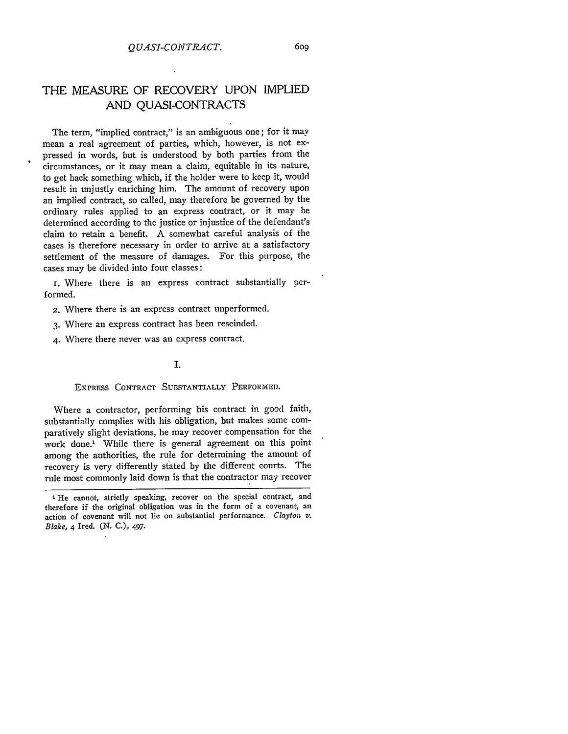# THE MEASURE OF RECOVERY UPON IMPLIED AND QUASI-CONTRACTS

The term, "implied contract," is an ambiguous one; for it may mean a real agreement of parties, which, however, is not expressed in words, but is understood by both parties from the circumstances, or it may mean a claim, equitable in its nature, to get back something which, if the holder were to keep it, would result in unjustly enriching him. The amount of recovery upon an implied contract, so called, may therefore be governed by the ordinary rules applied to an express contract, or it may be determined according to the justice or injustice of the defendant's claim to retain a benefit. A somewhat careful analysis of the cases is therefore necessary in order to arrive at a satisfactory settlement of the measure of damages. For this purpose, the cases may be divided into four classes:

I. Where there is an express contract substantially performed.

2. Where there is an express contract unperformed.

3. Where an express contract has been rescinded.

4. Where there never was an express contract.

#### I.

#### EXPRESS CONTRACT SUBSTANTIALLY PERFORMED.

Where a contractor, performing his contract in good faith, substantially complies with his obligation, but makes some comparatively slight deviations, he may recover compensation for the work done.' While there is general agreement on this point among the authorities, the rule for determining the amount of recovery is very differently stated by the different courts. The rule most commonly laid down is that the contractor may recover

<sup>&</sup>lt;sup>1</sup>He cannot, strictly speaking, recover on the special contract, and therefore if the original obligation was in the form of a covenant, an action of covenant will not lie on substantial performance. *Clayton v. Blake,* 4 Ired. (N. C.), 497.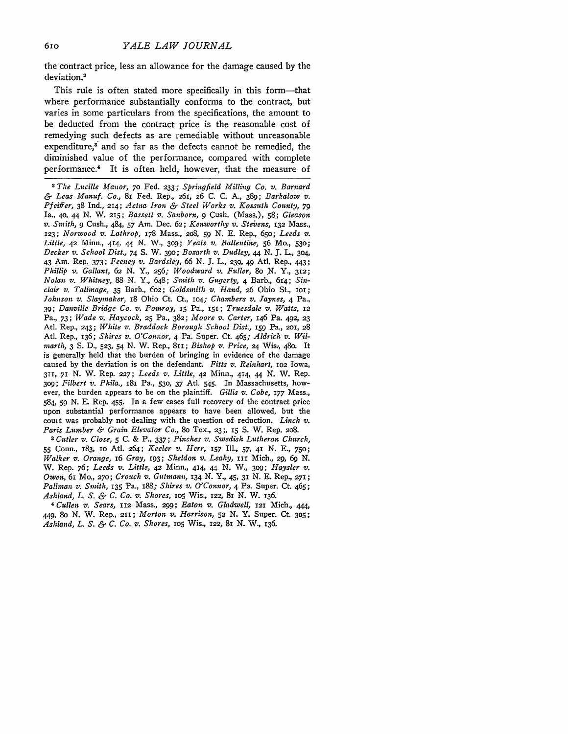the contract price, less an allowance for the damage caused **by** the deviation. 2

This rule is often stated more specifically in this form—that where performance substantially conforms to the contract, but varies in some particulars from the specifications, the amount to be deducted from the contract price is the reasonable cost of remedying such defects as are remediable without unreasonable expenditure,<sup>3</sup> and so far as the defects cannot be remedied, the diminished value of the performance, compared with complete performance.4 It is often held, however, that the measure of

*2 The Lucille Manor, 70* Fed. **233,** *Springfield Milling Co. v. Barnard & Leas Manuf. Co.,* 81 Fed. Rep., 261, **26** C. C. A., 389; *Barkalow v.* Pfeiffer, 38 Ind., 214; *Aetna Iron & Steel Works v. Kossuth County, 79* Ia., 40, 44 N. W. **2,5;** Bassett *v. Sanborn, 9* Cush. (Mass.), **58;** *Gleason v. Smith, 9* Cush., 484, **57** Am. Dec. 62; *Kenworthy v. Stevens,* **232** Mass., 123; *Norwood v. Lathrop,* 178 Mass., 208, **59** N. E. Rep., 65o; *Leeds v. Little,* 42 Minn., 414, 44 *N.* W., 3og; *Yeats v. Ballentine,* **56** Mo., 53o; *Decker v. School Dist., 74* S. W. **390;** *Bozarth v. Dudley, 44* N. **J.** L., 3o4, 43 Am. Rep. 373; *Feeney v. Bardsley, 66* N. *J.* L., **239,** 49 At. Rep., 443; *Phillip* v. Gallant, 62 N. Y., 256; *Woodward v. Fuller, So* **N.** *Y.,* 312; *Nolan v.* Whitney, 88 N. Y., 648; *Smith v.* Gugerty, 4 Barb., 614; *Sinclair v. Tallmage,* **35** Barb., 6o2; *Goldsmith v. Hand,* **26** Ohio St., ioi; *Johnson v. Slaymaker,* 18 Ohio Ct. Ct., 2O4; *Chambers v. Jaynes,* 4 Pa., 39; *Danville Bridge Co. v. Pomroy,* 15 Pa., **151;** *Truesdale v. Watts, 12* Pa., *73; Wade v. Haycock,* **25** Pa., **382;** *Moore v. Carter,* 146 Pa. 492, **23** Atl. Rep., 243; White *v. Braddock Borough School Dist.,* **159** Pa., 201, 28 Atl. Rep., 136; *Shires v. O'Connor,* 4 Pa. Super. Ct. 465; *Aldrich v. Wilmarth,* 3 **S.** D., **523,** 54 N. W. Rep., 811 ; *Bishop v. Price,* 24 Wis,, 480. It is generally held that the burden of bringing in evidence of the damage caused **by** the deviation is on the defendant. *Fitts v. Reinhart,* **102** Iowa, **311,** 71 N. W. Rep. **227;** *Leeds v. Little,* 42 Minn., 414, 44 N. W. Rep. 3o9; *Filbert v. Phila.,* 181 Pa., **530, 37** Atl. 545. In Massachusetts, however, the burden appears to be on the plaintiff. *Gillis v. Cobe,* 177 Mass., 584, *59* N. E. Rep. 455. In a few cases full recovery of the contract price upon substantial performance appears to have been allowed, but the court was probably not dealing with the question of reduction. *Linch v. Paris Lumber & Grain Elevator Co., 8o* Tex., **23;, 15 S.** W. Rep. 208.

*3 Cutler v. Close,* **5** C. & P., 337; *Pinches v. Swedish Lutheran Church,* **55** Conn., 183, io Atl. 264; *Keeler v. Herr,* **157** Ill., **57,** 41 N. E., *75o; Walker v. Orange, 16 Gray,* **193;** *Sheldon v. Leahy,* **iii** Mich., 29, **69** N. W. Rep. 76; *Leeds v. Little, 42* Minn., 414, 44 N. W., 3o9; *Haysler v. Owen,* 6 Mo., **270;** *Crouch v. Gutmann, 134* N. Y., *45,* **32** N. E. Rep., **271;** *Pallman v. Smith,* **135** Pa., *188; Shires v. O'Connor,* 4 Pa. Super. Ct. 465; *Ashland, L. S. & C. Co. v. Shores,* **io5** Wis., 122, 8i N. W. 136.

*4 Cullen v. Sears,* 112 Mass., **299;** *Eaton v. Gladwell,* 121 Mich., 444, 449, So *N.* W. Rep., 211; *Morton v. Harrison, 52* N. Y. Super. Ct. 3o5; *Ashland, L. S. & C. Co. v. Shores,* **105** Wis., 122, **81** N. W., 136.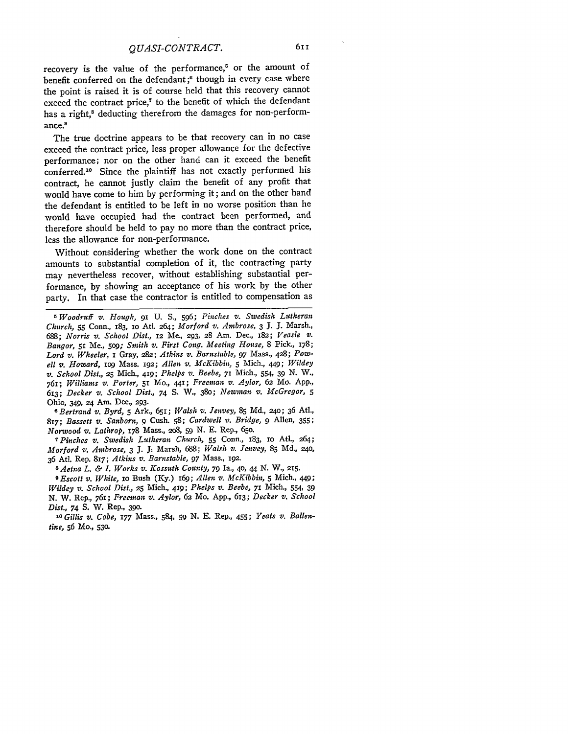recovery is the value of the performance,<sup>5</sup> or the amount of benefit conferred on the defendant *;f* though in every case where the point is raised it is of course held that this recovery cannot exceed the contract price,<sup>7</sup> to the benefit of which the defendant has a right,<sup>8</sup> deducting therefrom the damages for non-performance.9

The true doctrine appears to be that recovery can in no case exceed the contract price, less proper allowance for the defective performance; nor on the other hand can it exceed the benefit conferred.'0 Since the plaintiff has not exactly performed his contract, he cannot justly claim the benefit of any profit that would have come to him by performing it; and on the other band the defendant is entitled to be left in no worse position than he would have occupied had the contract been performed, and therefore should be held to pay no more than the contract price, less the allowance for non-performance.

Without considering whether the work done on the contract amounts to substantial completion of it, the contracting party may nevertheless recover, without establishing substantial performance, by showing an acceptance of his work by the other party. In that case the contractor is entitled to compensation as

*6 Bertrand v. Byrd,* **5** Ark., 651; *Walsh v. Jenvey,* **85** Md., 240; 36 At., 817; *Bassett v. Sanborn, 9* Cush. *58; Cardwell v. Bridge, 9* Allen, 355; *Norwood v. Lathrop,* 178 Mass., 208, **59** N. E. Rep., 65o.

*7Pinches v. Swedish Lutheran Church,* 55 Conn., 183, IO At., 264; *Morford v. Ambrose,* 3 **J. J;** Marsh, 688; *Walsh v. Jenvey,* **85** Md., 24o, 36 Aft. Rep. 817; *Atkins v. Barnstable, 97* Mass., 192.

*"Aetna L. & L Works v. Kossuth County, 79* Ia., **40,** 44 *N.* W., **215.**

*<sup>9</sup> Escott v. White,* io Bush (Ky.) *i69; Allen v. McKibbin, 5* Mich., 449; *Wildey v. School Dist.,* **25** Mich., 419; *Phelps v. Beebe,* 71 Mich., 554, 39 N. W. Rep., 761; *Freeman v. Aylor, 62* Mo. App., 613; *Decker v. School Dist., 74* S. W. Rep., 39o.

*10 Gillis v. Cobe,* **177** Mass., 584, 59 *N.* E. Rep., 455; *Yeats v. Ballentine,* **56** Mo., **530.**

*<sup>5</sup>Woodruff v. Hough,* 91 **U. S.,** 596; *Pinches v. Swedish Lutheran Church,* 55 Conn., 183, lO Atl. 264; *Morford v. Ambrose,* 3 J. J. Marsh., *688; Norris v. School Dist.,* 12 Me., **293,** 28 Am. Dec., 182; *Veasie it. Bangor,* **51** Me., **509;** *Smith v. First Cong. Meeting House,* 8 Pick, 178; *Lord v. Wheeler,* i Gray, **282;** *Atkins v. Barnstable, 97* Mass., 428; *Powell v. Howard, io9* Mass. 192; *Allen v. McKibbin, 5* Mich., 449; *Wildey v. School Dist.,* **25** Mich., 419; *Phelps v. Beebe,* **71** Mich., 554, **39** N. W., *761; Williams v. Porter,* **5I** Mo., 441; *Freeman v. Aylor,* **62** Mo. App., 613; *Decker v. School Dist., 74* S. W., 38o; *Newman v. McGregor, 5* Ohio, 349, 24 Am. Dec., **293.**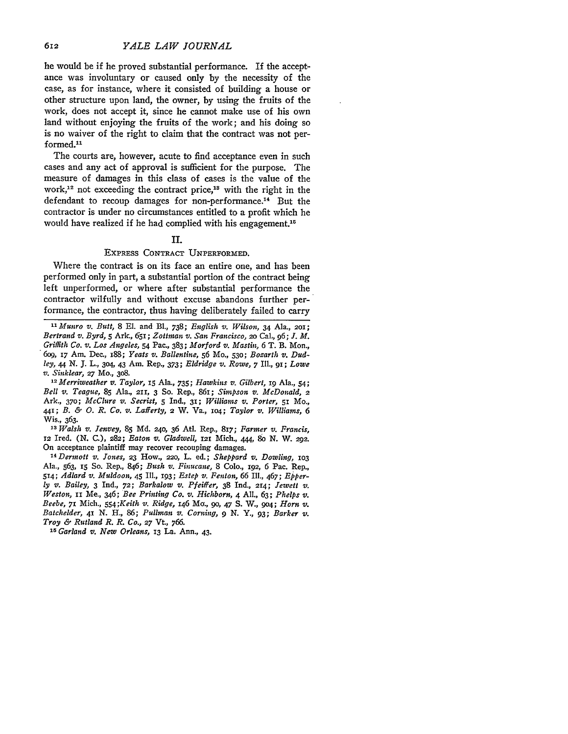*YALE LAW JOURNAL*

he would be if he proved substantial performance. If the acceptance was involuntary or caused only by the necessity of the case, as for instance, where it consisted of building a house or other structure upon land, the owner, by using the fruits of the work, does not accept it, since he cannot make use of his own land without enjoying the fruits of the work; and his doing so is no waiver of the right to claim that the contract was not performed.11

The courts are, however, acute to find acceptance even in such cases and any act of approval is sufficient for the purpose. The measure of damages in this class of cases is the value of the work, $12$  not exceeding the contract price, $13$  with the right in the defendant to recoup damages for non-performance.<sup>14</sup> But the contractor is under no circumstances entitled to a profit which he would have realized if he had complied with his engagement.<sup>15</sup>

#### II.

#### EXPRESS CONTRACT UNPERFORMED.

Where the contract is on its face an entire one, and has been performed only in part, a substantial portion of the contract being left unperformed, or where after substantial performance the contractor wilfully and without excuse abandons further performance, the contractor, thus having deliberately failed to carry

*<sup>23</sup>Walsh v. lenvey,* **85 Md.** 240, **36** Atl. Rep., **817;** *Farmer v. Francis,* **12** Ired. **(N. C.), 282;** *Eaton v. Gladwell,* **121** Mich., *444,* **go N.** W. **292.** On acceptance plaintiff may recover recouping damages.

*'14 Dermott v. Jones,* **23** How., **22o,** L. ed.; *Sheppard v. Dowling, IO3* Ala., **563, I5** So. Rep., 846; *Bush v. Finucane,* **8** Colo., **192, 6** Pac. Rep., *514; Adlard v. Muldoon,* 45 **Ill., 193;** *Estep v. Fenton, 66* Ill., 467; *Epperly v. Bailey,* **3** Ind., *72; Barkalow v. Pfeiffer,* **38** Ind., 214; *Jewett v. Weston,* **'I** Me., 346; *Bee Printing Co. v. Hichborn,* 4 All., 63; *Phelps vt. Beebe, 71* Mich., *554;Keith v,. Ridge, 146 Mo., 9o,* 47 S. W., 904; *Horn v. Batchelder, 41 N.* H., 86; *Pullman v. Corning, 9 N.* Y., **93;** *Barker v. Troy & Rutland R. R. Co.,* **27** Vt., 766.

*15 Garland v. New Orleans,* **13** La. Ann., 43.

612

*<sup>&</sup>quot; Munro v.* Butt, 8 **El.** and BI., 738; *English v. Wilson,* 34 Ala., 201; *Bertrand v. Byrd,* **5** Ark., *65i; Zottman v. San Francisco,* **20** Cal., *96; J. M. Griffith Co. v. Los Angeles,* 54 Pac., **383;** *Morford v. Mastin,* 6 T. B. Mon., 6og, **17** Am. Dec., 188; *Yeats v. Ballentine,* **56** Mo., **530;** *Bozarth v. Dudley, 44* **N. J.** L., **304,** 43 Am. Rep., **373;** *Eldridge v. Rowe, 7* Ill., *9r; Lowe v. Sinklear, 27* Mo., **308.**

*<sup>.2</sup> Merriweather v. Taylor, 15* Ala., **735;** *Hawkins v. Gilbert, ig* Ala., 54; *Bell v. Teague,* **85** Ala., 21r, **3** So. Rep., 86i; *Simpson v. McDonald, 2* Ark., *370; McClure v. Secrist,* **5** Ind., **31;** *Williams v. Porter,* **51** Mo., *441; B. & 0. R. Co. v. Lafferty,* **2** W. Va., **104;** *Taylor v. Williams, 6* Wis., **363.**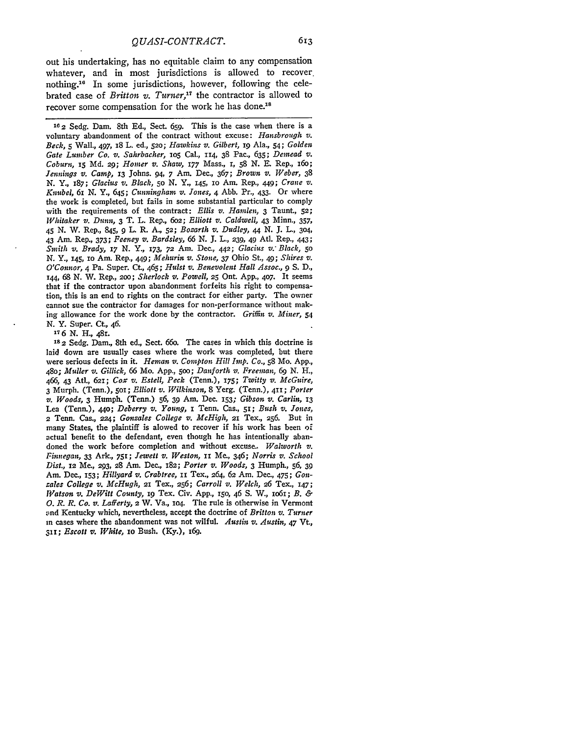out his undertaking, has no equitable claim to any compensation whatever, and in most jurisdictions is allowed to recover. nothing.<sup>16</sup> In some jurisdictions, however, following the celebrated case of *Britton v. Turner,17* the contractor is allowed to recover some compensation for the work he has done.<sup>18</sup>

**16 2** Sedg. Dam. 8th Ed., Sect. 659. This is the case when there is a voluntary abandonment of the contract without excuse: *Hansbrough v. Beck, 5* Wall., *497,* 18 L. ed., **520;** *Hawkins v. Gilbert, ig* Ala., 54; *Golden Gate Lumber Co. v. Sahrbacher,* io5 Cal., 114, 38 Pac., 635; *Demead v. Coburn,* 15 Md. **29;** *Homer v. Shaw, 177* Mass., **I,** 58 N. E. Rep., i6o; *Jennings z. Camp,* **13** Johns. 94, 7 Am. Dec., 367; *Brown v. Weber,* 38 N. Y., 187; *Glacius v. Black, 5o* N. Y., 145, **1o** Am. Rep., 449; *Crane v. Knubel, 61* N. Y., 645; *Cunningham v. Jones,* 4 Abb. Pr., 433. Or where the work is completed, but fails in some substantial particular to comply with the requirements of the contract: *Ellis v. Hamlen,* 3 Taunt., **52;** *Whitaker v. Dunn,* 3 T. L. Rep., 6o2; *Elliott v. Caldwell,* 43 Minn., 357, 45 N. W. Rep., 845, 9 L. R. A., **52;** *Bozarth v. Dudley, 44 N.* J. L., 304, 43 Am. Rep., 373; *Feeney v. Bardsley,* 66 N. **J.** L., **239,** 49 Aft. Rep., 443; *Smith v. Brady, 17 N.* Y., 173, **72** Am. Dec., *442; Glacius v: Black, 5o* N. Y., 145, IO Am. Rep., 449; *Mehurin v. Stone,* 37 Ohio St., *49; Shires v. O'Connor,* 4 Pa. Super. Ct, 465; *Hulst v. Benevolent Hall Assoc., 9* S. D., 144, 68 N. W. Rep., **200;** *Sherlock v. Powell,* **25** Ont. App., 407. It seems that if the contractor upon abandonment forfeits his right to compensation, this is an end to rights on the contract for either party. The owner cannot sue the contractor for damages for non-performance without making allowance for the work done by the contractor. *Griffin v. Miner,* 54 **N.** Y. Super. Ct, 46.

**7 6 N.** H., 481.

**1s2** Sedg. Dam., 8th ed., Sect. 66o. The cases in which this doctrine is laid down are usually cases where the work was completed, but there were serious defects in it. *Heman v. Compton Hill Imp. Co.,* **58** Mo. App., 480; *Muller v. Gillick,* 66 Mo. App., **500;** *Danforth v. Freeman, 69 N. H.,* 466, 43 At., 621; *Cox v. Estell, Peck* (Tenn.), 175; *Twitty v. McGuire,* 3 Murph. (Tenn.), 5oi; *Elliott v. Wilkinson,* 8 Yerg. (Tenn.), *411; Porter v. Woods,* 3 Humph. (Tenn.) **56,** *39* Am. Dec. **153;** *Gibson v. Carlin, 13* Lea (Tenn.), 44o; *Deberry v. Young,* i Tenn. Cas., **5i;** *Bush v. Jones,* **2** Tenn. Cas., 224; *Gonzales College v. McHigh,* **21** Tex., 256. But in many States, the plaintiff is alowed to recover if his work has been **of** actual benefit to the defendant, even though he has intentionally abandoned the work before completion and without excuse.. *Walworth v. Finnegan,* 33 Ark., **751;** *Jewett v. Weston, ix* Me., 346; *Norris v. School Dist.,* **12** Me., **293,** 28 Am. Dec., 182; *Porter v. Woods,* 3 Humph., **56,** <sup>39</sup> Am. Dec., 153; *Hillyard v. Crabtree,* ii Tex., 264, **62** Am. Dec., 475; *Gonzales College v. McHugh,* **21** Tex., 256; *Carroll v. Welch,* **26** Tex., 147; *Watson v. DeWitt County,* **19** Tex. Civ. App., 150, 46 **S.** W., io6i; *B. & 0. R. R. Co. v. Lafferty,* 2 W. Va., **1O4.** The rule is otherwise in Vermont and Kentucky which, nevertheless, accept the doctrine of *Britton v. Turner* in cases where the abandonment was not wilful. *Austin v. Austin,* 47 Vt., *,,i; Escott v. White,* io Bush. **(Ky.),** I6g.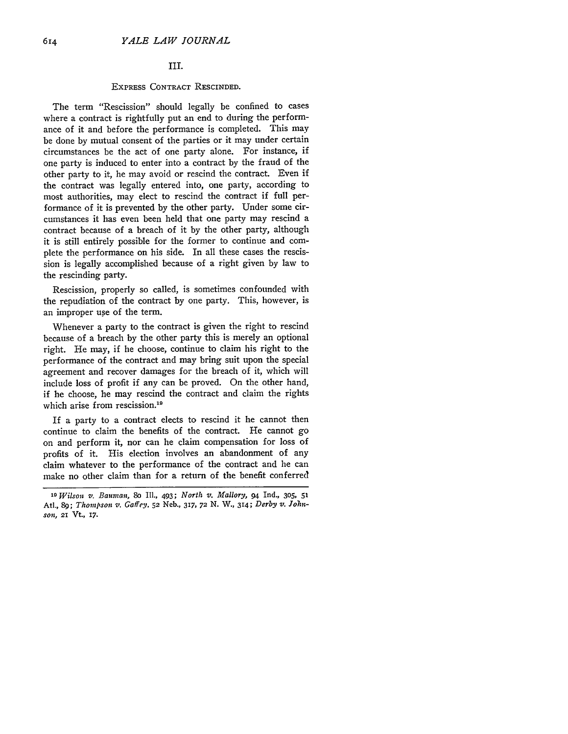### III.

#### EXPRESS **CONTRACT** RESCINDED.

The term "Rescission" should legally be confined to cases where a contract is rightfully put an end to during the performance of it and before the performance is completed. This may be done by mutual consent of the parties or it may under certain circumstances be the act of one party alone. For instance, if one party is induced to enter into a contract by the fraud of the other party to it, he may avoid or rescind the contract. Even if the contract was legally entered into, one party, according to most authorities, may elect to rescind the contract if full performance of it is prevented by the other party. Under some circumstances it has even been held that one party may rescind a contract because of a breach of it by the other party, although it is still entirely possible for the former to continue and complete the performance on his side. In all these cases the rescission is legally accomplished because of a right given by law to the rescinding party.

Rescission, properly so called, is sometimes confounded with the repudiation of the contract by one party. This, however, is an improper use of the term.

Whenever a party to the contract is given the right to rescind because of a breach by the other party this is merely an optional right. He may, if he choose, continue to claim his right to the performance of the contract and may bring suit upon the special agreement and recover damages for the breach of it, which will include loss of profit if any can be proved. On the other hand, if he choose, he may rescind the contract and claim the rights which arise from rescission.<sup>19</sup>

If a party to a contract elects to rescind it he cannot then continue to claim the benefits of the contract. He cannot go on and perform it, nor can he claim compensation for loss of profits of it. His election involves an abandonment of any claim whatever to the performance of the contract and he can make no other claim than for a return of the benefit conferred

*<sup>19</sup>Wilson v. Bauman, 8o* **Ill.,** 493; *North v. Mallory,* **94** Ind., **305, 51 AtI.,** *89; Thompson v. Gaffey,* **52** Neb., 317, **72 N.** W., 314; *Derby v. John-SOl;,* **21** Vt., **17.**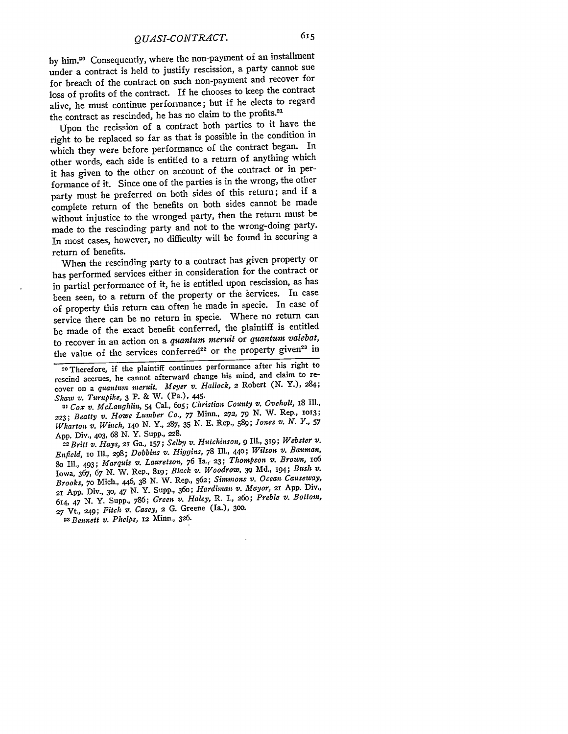by him.20 Consequently, where the non-payment of an installment under a contract is held to justify rescission, a party cannot sue for breach of the contract on such non-payment and recover for loss of profits of the contract. If he chooses to keep the contract alive, he must continue performance; but if he elects to regard the contract as rescinded, he has no claim to the profits.<sup>21</sup>

Upon the recission of a contract both parties to it have the right to be replaced so far as that is possible in the condition in which they were before performance of the contract began. In other words, each side is entitled to a return of anything which it has given to the other on account of the contract or in performance of it. Since one of the parties is in the wrong, the other party must be preferred on both sides of this return; and if a complete return of the benefits on both sides cannot be made without injustice to the wronged party, then the return must be made to the rescinding party and not to the wrong-doing party. In most cases, however, no difficulty will be found in securing a return of benefits.

When the rescinding party to a contract has given property or has performed services either in consideration for the contract or in partial performance of it, he is entitled upon rescission, as has been seen, to a return of the property or the services. In case of property this return can often be made in specie. In case of service there can be no return in specie. Where no return can be made of the exact benefit conferred, the plaintiff is entitled to recover in an action on a *quantum meruit* or *quantum valebat,* the value of the services conferred<sup>22</sup> or the property given<sup>23</sup> in

*21 Cox v. McLaughlin,* 54 Cal., **605;** *Christian County v. Oveholt,* i8 **Ill., 223;** *Beatty v. Howe Lumber Co., 77* Minn., **272,** *79* N. W. Rep., **1013;** *Wharton v. Winch, 14o* N. Y., 287, **35** N. E. Rep., 589; *Jones . N. Y., 57* App. Div., **403,** 68 N. Y. Supp., **228.**

*22Britt v. Hays,* **21** Ga., **157;** *Selby v. Hutchinson, 9* Ill., **319;** *Webster v. Enfield,* io Ill., 298; *Dobbins v. Higgins,* 78 Ill., 440; *Wilson v. Bauman,* **80** Ill., 493; *Marquis v. Lauretson, 76* Ia., **23;** *Thompson v. Brown,* io6 Iowa, 367, 67 N. W. Rep., *8ig; Black v. Woodrow,* 39 Md., i94; *Bush v. Brooks, 70* Mich., 446, 38 N. W. Rep., 562; *Simmons v. Ocean Causeway,* **21** App. Div., **30,** 47 **N. Y.** Supp., 360; *Hardiman v. Mayor,* 21 App. Div., 614, *47* N. Y. Supp., 786; *Green v. Haley,* R. I., 260; *Preble v. Bottom,* **<sup>27</sup>**Vt., **249;** *Fitch v. Casey,* 2 G. Greene (Ia.), **300.**

*23 Bennett v. Phelps, 12* Minn., 326.

**<sup>20</sup>**Therefore, if the plaintiff continues performance after his right to rescind accrues, he cannot afterward change his mind, and claim to recover on a *quantum ineruit. Meyer v. Hallock,* 2 Robert **(N.** Y.), 284; *Shaw v. Turnpike,* 3 P. & W. (Pa.), 445.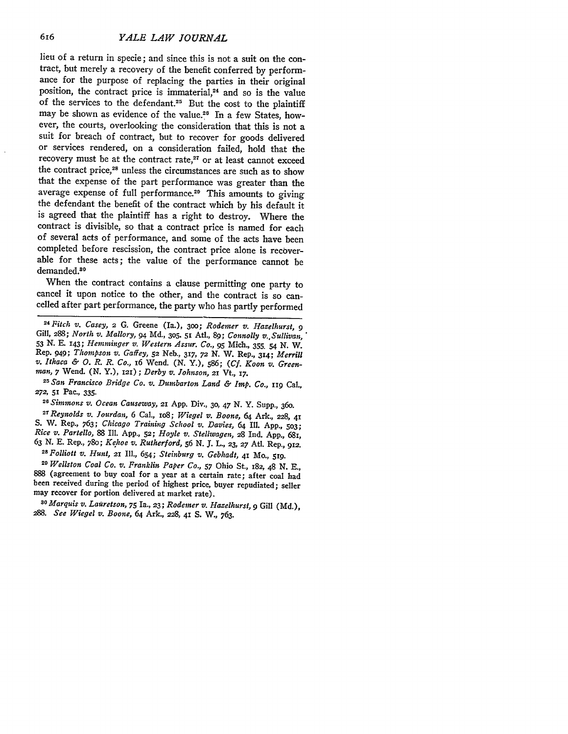*YALE LAW JOURNAL*

lieu of a return in specie; and since this is not a suit on the contract, but merely a recovery of the benefit conferred by performance for the purpose of replacing the parties in their original position, the contract price is immaterial,<sup>24</sup> and so is the value of the services to the defendant.<sup>25</sup> But the cost to the plaintiff may be shown as evidence of the value.26 In a few States, however, the courts, overlooking the consideration that this is not a suit for breach of contract, but to recover for goods delivered or services rendered, on a consideration failed, hold that the recovery must be at the contract rate,<sup>27</sup> or at least cannot exceed the contract price,<sup>28</sup> unless the circumstances are such as to show that the expense of the part performance was greater than the average expense of full performance.<sup>29</sup> This amounts to giving the defendant the benefit of the contract which by his default it is agreed that the plaintiff has a right to destroy. Where the contract is divisible, so that a contract price is named for each of several acts of performance, and some of the acts have been completed before rescission, the contract price alone is recoverable for these acts; the value of the performance cannot be demanded.80

When the contract contains a clause permitting one party to cancel it upon notice to the other, and the contract is so cancelled after part performance, the party who has partly performed

*24 Fitch v. Casey,* 2 G. Greene (Ia.), 30o; *Roderner v. Hazelhurst, 9* Gill, 288; *North v. Mallory,* 94 Md., **305.** *5i* AtI., *89; Connolly v., Sullivan," 53 N.* E. 143; *Hemminger v. Western Assur. Co., 95* Mich., 355. 54 N. W. Rep. 949; *Thompson v. Gaffey,* **52** Neb., **317, 72 N.** W. Rep., 314; *Merrill v. Ithaca & 0. R. R. Co.,* i6 Wend. (N. Y.), 586; *(Cf. Koon v. Green-*

*man,* 7 Wend. (N. Y.), **121);** *Derby v. Johnson,* **21** Vt., **17.** *<sup>25</sup> San Francisco Bridge Co. v. Dumbarton Land & Imp. Co.,* **II9** Cal., *272,* **51** Pac., 335. *26 Simmons v. Ocean Causeway,* **21** App. Div., **30,** 47 N. Y. Supp., 360.

*<sup>27</sup> Reynolds v. Jourdan,* 6 Cal., Io8; *Wiegel v. Boone, 64* Ark., **228, 41** S. W. Rep., 763; *Chicago Training School v. Davies,* 64 Ill. App., **503;** *Rice v. Partello,* 88 Il. App., **52;** *Hoyle v. Stellwagen,* **28** Ind. **App.,** 681, 63 N. E. Rep., 780; *Kehoe v. Rutherford, 56* N. **J.** L., **23, 27** AtI. Rep., 912. *<sup>28</sup>Folliott v. Hunt,* **21** Ill., 654; *Steinburg v. Gebhadt,* **41** Mo., **519.**

*<sup>20</sup>Wellston Coal Co. v. Franklin Paper Co.,* 57 Ohio St., **182,** 48 N. E., 888 (agreement to buy coal for a year at a certain rate; after coal had been received during the period of highest price, buyer repudiated; seller may recover for portion delivered at market rate).

*30 Marquis v. Lauretson,* 75 Ia., *23; Rodemer v. Hazelhurst, 9* Gill (Md.), *288. See Wiegel v. Boone, 64* Ark., **228, 41 S.** W., **763.**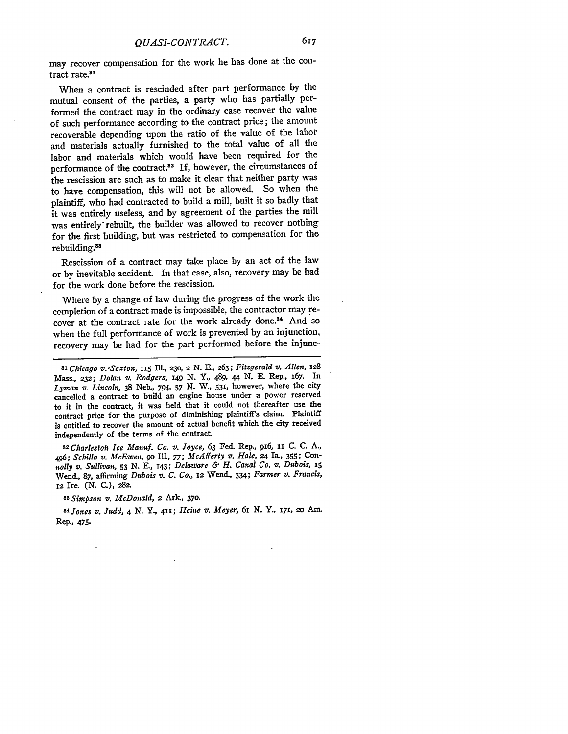may recover compensation for the work he has done at the contract rate.<sup>81</sup>

When a contract is rescinded after part performance by the mutual consent of the parties, a party who has partially performed the contract may in the ordinary case recover the value of such performance according to the contract price; the amount recoverable depending upon the ratio of the value of the labor and materials actually furnished to the total value of all the labor and materials which would have been required for the performance of the contract.<sup>32</sup> If, however, the circumstances of the rescission are such as to make it clear that neither party was to have compensation, this will not be allowed. So when the plaintiff, who had contracted to build a mill, built it so badly that it was entirely useless, and by agreement of the parties the mill was entirely rebuilt, the builder was allowed to recover nothing for the first building, but was restricted to compensation for the rebuilding.<sup>88</sup>

Rescission of a contract may take place by an act of the law or by inevitable accident. In that case, also, recovery may be had for the work done before the rescission.

Where by a change of law during the progress of the work the completion of a contract made is impossible, the contractor may recover at the contract rate for the work already done.34 And so when the full performance of work is prevented by an injunction, recovery may be had for the part performed before the injunc-

*3 2Charlestoh Ice Manuf. Co. v. Joyce,* 63 Fed. Rep., 916, **II C. C. A.,** 496; *Schillo v. McEwen,* go Ill., *77; McAfferty v. Hale,* **24** Ia., 355; Con*nolly v. Sullivan,* **53 N. E.,** 143; *Delaware & H. Canal Co. v. Dubois, 15* Wend., **87,** affirming *Dubois v. C. Co.,* **12** Wend., 334; *Farmer v. Francis,* **12** Ire. **(N. C.), 282.**

*<sup>88</sup>Simpson v. McDonald,* **2** Ark., 37o.

*8 Jlones v. Judd,* 4 **N. Y., 41;** *Heine v. Meyer, 6I N.* Y., **171,** *2o* Am. Rep., 475.

*<sup>81</sup>Chicago v. Sexton,* **115** Ill., **230, 2 N.** E., **263;** *Fitzgerald v. Allen, 128* Mass., **232;** *Dolan v. Rodgers, 149* **N.** Y., 489, 44 **N.** E. Rep., 167. In *Lyman v. Lincoln,* **38** Neb., 794, *57* **N.** W., 531, however, where the city cancelled a contract to build an engine house under a power reserved to it in the contract, it was held that it could not thereafter use the contract price for the purpose of diminishing plaintiff's claim. Plaintiff is entitled to recover the amount of actual benefit which the city received independently of the terms of the contract.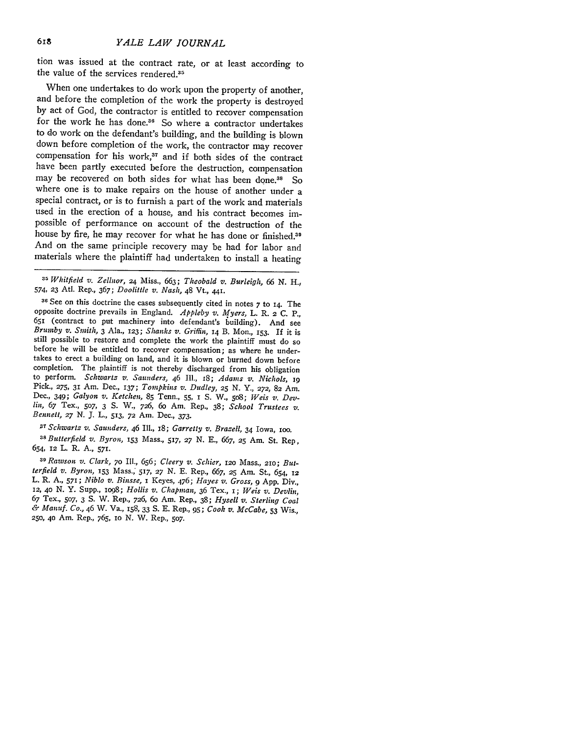tion was issued at the contract rate, or at least according to the value of the services rendered.<sup>35</sup>

When one undertakes to do work upon the property of another, and before the completion of the work the property is destroyed by act of God, the contractor is entitled to recover compensation for the work he has done.<sup>36</sup> So where a contractor undertakes to do work on the defendant's building, and the building is blown down before completion of the work, the contractor may recover compensation for his work,<sup>37</sup> and if both sides of the contract have been partly executed before the destruction, compensation may be recovered on both sides for what has been done.<sup>38</sup> So where one is to make repairs on the house of another under a special contract, or is to furnish a part of the work and materials used in the erection of a house, and his contract becomes impossible of performance on account of the destruction of the house by fire, he may recover for what he has done or finished.<sup>30</sup> And on the same principle recovery may be had for labor and materials where the plaintiff had undertaken to install a heating

*<sup>37</sup>Schwartz v. Saunders,* 46 Ill., 18; *Garretty v. Brazell,* 34 Iowa, I0O.

*<sup>38</sup>Butterfield v. Byron, 153* Mass., 517, *27 N.* E., *667,* **25** Am. St. Rep, 654, 12 L. R. A., 571.

*39 Rawson v. Clark, 70* Ill., 656; *Cleery v. Schicr, 120* Mass., 210; *Butterfield v. Byron,* **153** Mass.; 517, *27* N. E. Rep., *667, 25* Am. St., 654, *<sup>12</sup>* L. R. A., *571; Niblo v. Binsse,* i Keyes, 476; *Hayes v. Gross, 9* App. Div., 12, **40** N. Y. Supp., iO98; *Hollis v. Chapman,* 36 Tex., i; *Weis v. Devlin, <sup>67</sup>*Tex., **507,** 3 **S.** W. Rep., 726, 6o Am. Rep., 38; *Hysell v. Sterling Coal & Manuf. Co.,* 46 W. Va., 158, 33 **S.** E. Rep., 95; *Cook v. McCabe,* 53 Wis., **250, 40** Am. Rep., *765,* IO N. W. Rep., **507.**

*<sup>35</sup>Whitfield v. Zellnor,* 24 Miss., 663; *Theobald v. Burleigh, 66 N.* H., 574, **23** Atl. Rep., 367; *Doolittle v. Nash,* 48 Vt., 441.

**<sup>36</sup>**See on this doctrine the cases subsequently cited in notes *7* to 14. The opposite doctrine prevails in England. Appleby v. Myers, L. R. 2 C. P., 651 (contract to put machinery into defendant's building). And see<br>Brumby v. Smith, 3 Ala., 123; Shanks v. Griffin, 14 B. Mon., 153. If it is still possible to restore and complete the work the plaintiff must do so before he will be entitled to recover compensation; as where he undertakes to erect a building on land, and it is blown or burned down before completion. The plaintiff is not thereby discharged from his obligation to perform. *Schwartz v. Saunders,* 46 **Ill.,** *18; Adams v. Nichols, ig* Pick., *275,* 31 Am. Dec., 137; *Tompkins v. Dudley, 25 N.* Y., *272,* 82 Am. Dec., 349; *Galyon v. Ketchen,* **85** Tenn., 55, **1 S.** W., **508;** *Weis Z,. Devlin, 67* Tex., **507,** 3 **S.** W., 726, 6o Am. Rep., 38; *School Trustees v. Bennett, 27* N. J. L., 513, *72* Am. Dec., 373.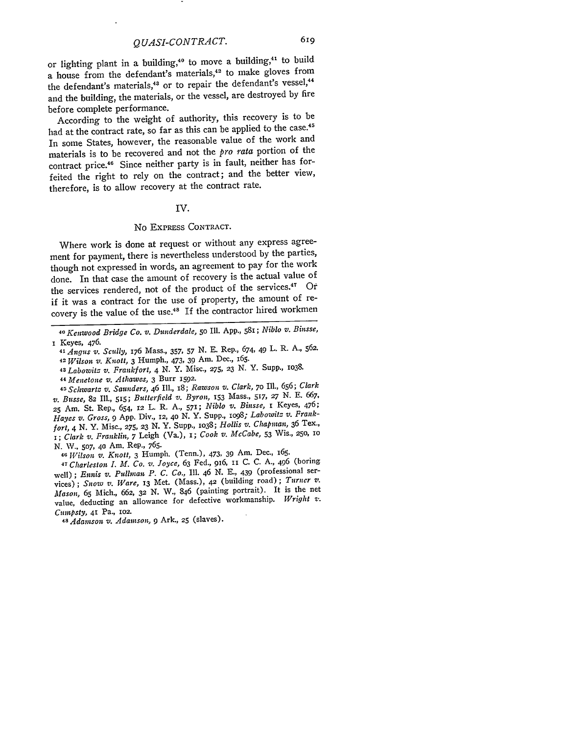or lighting plant in a building,<sup>40</sup> to move a building,<sup>41</sup> to build a house from the defendant's materials, $42$  to make gloves from the defendant's materials,<sup>43</sup> or to repair the defendant's vessel,<sup>44</sup> and the building, the materials, or the vessel, are destroyed by fire before complete performance.

According to the weight of authority, this recovery is to be had at the contract rate, so far as this can be applied to the case.<sup>45</sup> In some States, however, the reasonable value of the work and materials is to be recovered and not the *pro rata* portion of the contract price. 46 Since neither party is in fault, neither has forfeited the right to rely on the contract; and the better view, therefore, is to allow recovery at the contract rate.

#### IV.

## No EXPRESS **CONTRACT.**

Where work is done at request or without any express agreement for payment, there is nevertheless understood by the parties, though not expressed in words, an agreement to pay for the work done. In that case the amount of recovery is the actual value of the services rendered, not of the product of the services.<sup>47</sup> Or if it was a contract for the use of property, the amount of recovery is the value of the use.48 If the contractor hired workmen

*4o Kenwood Bridge Co. v. Dunderdale,* **50 II.** App., 581; *Niblo v. Binsse,* **I** Keyes, 476.

*<sup>41</sup>Angus v. Scully,* 176 Mass., *357,* 57 *N.* E. Rep., 674, 49 L. R. A., **562.** *<sup>42</sup>Wilson v. Knott,* **3** Humph., 473, **39** Am. Dec., 165.

*<sup>43</sup>Labowitz v. Frankfort, 4* **N. Y.** Misc., **275, 23 N.** Y. Supp., **1O38.** *44 Menetone v. Athawes,* **3** Burr 1592.

*45 Schwartz v. Saunders,* 46 Ill., **18;** *Rawson v. Clark, 7o* Ill., 656; *Clark v. Busse,* **82** Ill., 515; *Butterfield v. Byron,* '53 Mass., **517, 27** *N.* **E. 667, <sup>25</sup>**Am. St. Rep., 654, **12** L. R. **A.,** 571; *Niblo v. Binsse,* i Keyes, 476; *Hayes v. Gross, 9* App. Div., **12,** 4o N. Y. Supp., *1O98; Labowitz v. Frankfort,* 4 *N.* Y. Misc., **275, 23** *N.* Y. Supp., io38; *Hollis v. Chapman,* 36 Tex., *i; Clark v. Franklin,* 7 Leigh (Va.), **i;** *Cook v. McCabe,* **53** Wis., **250, TO** N. W., **507,** 4o Am. Rep., 765.

*46 Wilson v. Knott,* 3 Humph. (Tenn.), 473, **39** Am. Dec., 165.

*47 Charleston I. M. Co. v. Joyce,* 63 Fed., 916, 11 C. C. A., 496 (boring well); *Ennis v. Pullman P. C. Co.,* Ill. 46 N. E., 439 (professional services); *Snow v. Ware,* 13 Met. (Mass.), 42 (building road); *Turner v. Mason,* **65** Mich., 662, **32** N. *W.,* 846 (painting portrait). It is the net value, deducting an allowance for defective workmanship. *Wright V. CuMpsty,* 41 Pa., io2.

*48 Adamson v. Adamson, 9* Ark., **25** (slaves).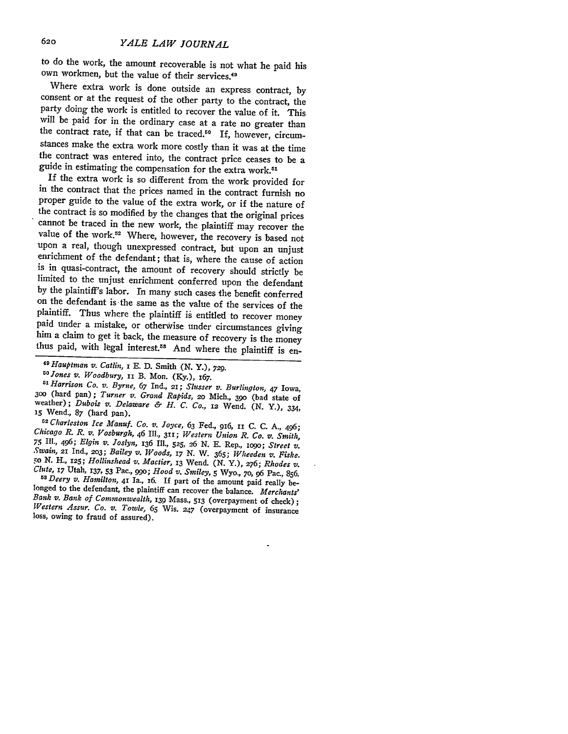to do the work, the amount recoverable is not what he paid his own workmen, but the value of their services.<sup>49</sup>

Where extra work is done outside an express contract, by consent or at the request of the other party to the contract, the party doing the work is entitled to recover the value of it. This will be paid for in the ordinary case at a rate no greater than the contract rate, if that can be traced.<sup>50</sup> If, however, circumstances make the extra work more costly than it was at the time the contract was entered into, the contract price ceases to be a guide in estimating the compensation for the extra work.51

If the extra work is so different from the work provided for in the contract that the prices named in the contract furnish no proper guide to the value of the extra work, or if the nature of the contract is so modified by the changes that the original prices cannot be traced in the new work, the plaintiff may recover the value of the work.<sup>52</sup> Wh upon a real, though unexpressed contract, but upon an unjust<br>enrichment of the defendant; that is, where the cause of action<br>is in quasi-contract, the amount of recovery should strictly be<br>limited to the unjust enrichment by the plaintiff's labor. In many such cases the benefit conferred on the defendant is the same as the value of the services of the plaintiff. Thus where the plaintiff is entitled to recover money paid under a mistake, or otherwise under circumstances giving him a claim to get it back, the measure of recovery is the money thus paid, with legal interest

<sup>to</sup> Jones v. Woodbury, II B. Mon. (Ky.), 167.<br>
<sup>to</sup> Harrison Co. v. Byrne, 67 Ind., 21; Slusser v. Burlington, 47 Iowa,<br>
300 (hard pan); *Turner v. Grand Rapids*, 20 Mich., 390 (bad state of<br>
weather); *Dubois v. Delawar* 

longed to the defendant, the plaintiff can recover the balance. Merchants' Bank v. Bank of Commonwealth, 139 Mass., 513 (overpayment of check); Western Assur. Co. v. Towle, 65 Wis. 247 (overpayment of insurance loss, owing to fraud of assured).

*<sup>4</sup> 9Hauptman v. Catlin,* i E. **D.** Smith **(N.** Y.), **729.**